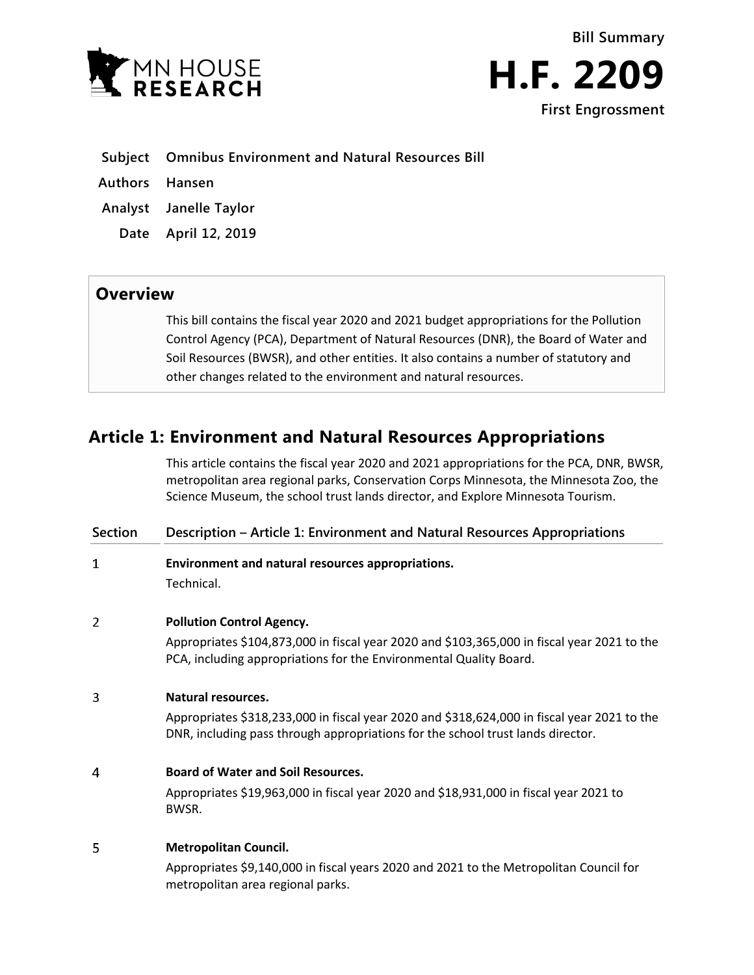



**Authors Hansen**

**Analyst Janelle Taylor**

**Date April 12, 2019**

## **Overview**

This bill contains the fiscal year 2020 and 2021 budget appropriations for the Pollution Control Agency (PCA), Department of Natural Resources (DNR), the Board of Water and Soil Resources (BWSR), and other entities. It also contains a number of statutory and other changes related to the environment and natural resources.

# **Article 1: Environment and Natural Resources Appropriations**

This article contains the fiscal year 2020 and 2021 appropriations for the PCA, DNR, BWSR, metropolitan area regional parks, Conservation Corps Minnesota, the Minnesota Zoo, the Science Museum, the school trust lands director, and Explore Minnesota Tourism.

| <b>Section</b> | Description – Article 1: Environment and Natural Resources Appropriations                                                                                                      |
|----------------|--------------------------------------------------------------------------------------------------------------------------------------------------------------------------------|
| 1              | Environment and natural resources appropriations.                                                                                                                              |
|                | Technical.                                                                                                                                                                     |
| 2              | <b>Pollution Control Agency.</b>                                                                                                                                               |
|                | Appropriates \$104,873,000 in fiscal year 2020 and \$103,365,000 in fiscal year 2021 to the<br>PCA, including appropriations for the Environmental Quality Board.              |
| 3              | <b>Natural resources.</b>                                                                                                                                                      |
|                | Appropriates \$318,233,000 in fiscal year 2020 and \$318,624,000 in fiscal year 2021 to the<br>DNR, including pass through appropriations for the school trust lands director. |
| 4              | <b>Board of Water and Soil Resources.</b>                                                                                                                                      |
|                | Appropriates \$19,963,000 in fiscal year 2020 and \$18,931,000 in fiscal year 2021 to<br>BWSR.                                                                                 |
| 5              | <b>Metropolitan Council.</b>                                                                                                                                                   |
|                | Appropriates \$9,140,000 in fiscal years 2020 and 2021 to the Metropolitan Council for<br>metropolitan area regional parks.                                                    |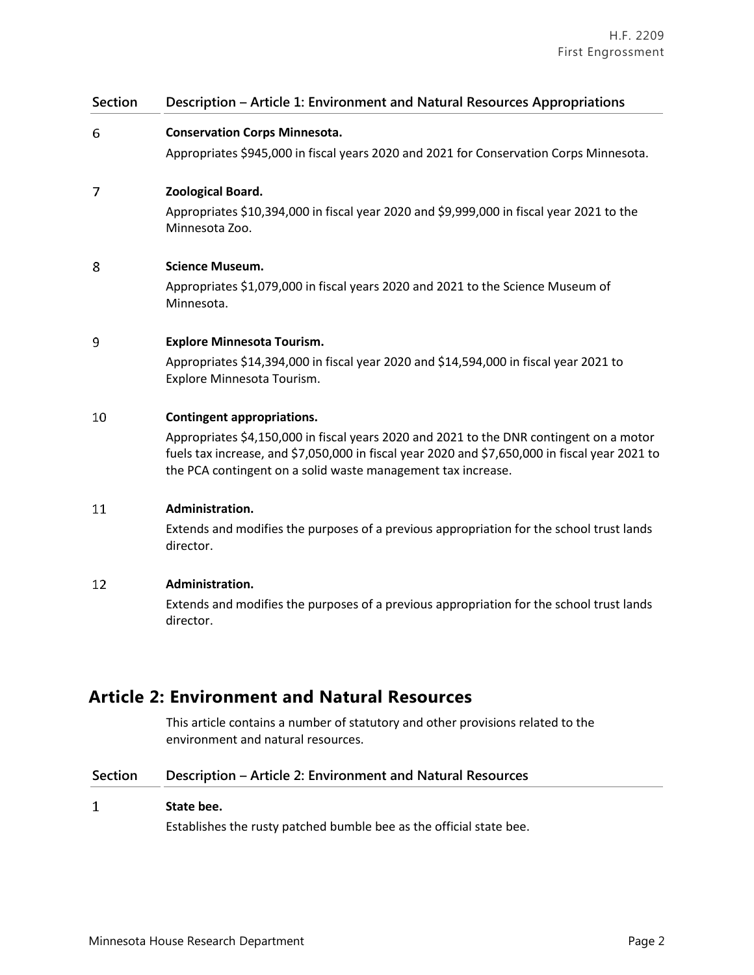## **Section Description – Article 1: Environment and Natural Resources Appropriations** 6 **Conservation Corps Minnesota.** Appropriates \$945,000 in fiscal years 2020 and 2021 for Conservation Corps Minnesota.  $\overline{7}$ **Zoological Board.** Appropriates \$10,394,000 in fiscal year 2020 and \$9,999,000 in fiscal year 2021 to the Minnesota Zoo. 8 **Science Museum.** Appropriates \$1,079,000 in fiscal years 2020 and 2021 to the Science Museum of Minnesota. 9 **Explore Minnesota Tourism.** Appropriates \$14,394,000 in fiscal year 2020 and \$14,594,000 in fiscal year 2021 to Explore Minnesota Tourism. 10 **Contingent appropriations.** Appropriates \$4,150,000 in fiscal years 2020 and 2021 to the DNR contingent on a motor fuels tax increase, and \$7,050,000 in fiscal year 2020 and \$7,650,000 in fiscal year 2021 to the PCA contingent on a solid waste management tax increase. 11 **Administration.** Extends and modifies the purposes of a previous appropriation for the school trust lands director. 12 **Administration.** Extends and modifies the purposes of a previous appropriation for the school trust lands director.

# **Article 2: Environment and Natural Resources**

This article contains a number of statutory and other provisions related to the environment and natural resources.

## **Section Description – Article 2: Environment and Natural Resources**

#### $\mathbf{1}$ **State bee.**

Establishes the rusty patched bumble bee as the official state bee.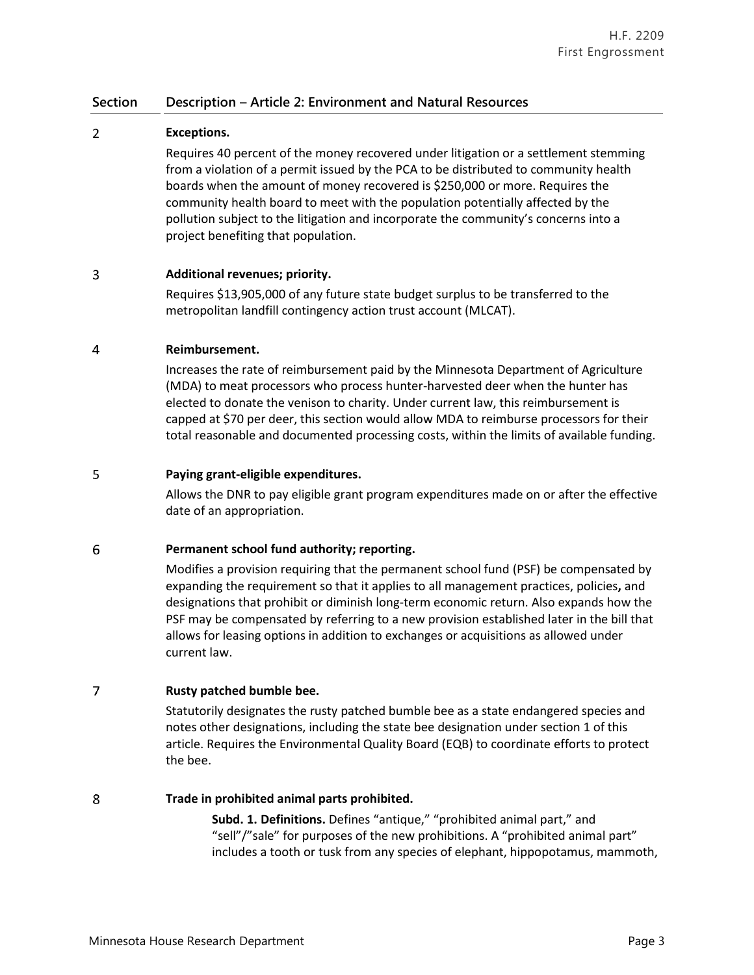#### $\overline{2}$ **Exceptions.**

Requires 40 percent of the money recovered under litigation or a settlement stemming from a violation of a permit issued by the PCA to be distributed to community health boards when the amount of money recovered is \$250,000 or more. Requires the community health board to meet with the population potentially affected by the pollution subject to the litigation and incorporate the community's concerns into a project benefiting that population.

#### 3 **Additional revenues; priority.**

Requires \$13,905,000 of any future state budget surplus to be transferred to the metropolitan landfill contingency action trust account (MLCAT).

#### $\overline{4}$ **Reimbursement.**

Increases the rate of reimbursement paid by the Minnesota Department of Agriculture (MDA) to meat processors who process hunter-harvested deer when the hunter has elected to donate the venison to charity. Under current law, this reimbursement is capped at \$70 per deer, this section would allow MDA to reimburse processors for their total reasonable and documented processing costs, within the limits of available funding.

#### 5 **Paying grant-eligible expenditures.**

Allows the DNR to pay eligible grant program expenditures made on or after the effective date of an appropriation.

#### 6 **Permanent school fund authority; reporting.**

Modifies a provision requiring that the permanent school fund (PSF) be compensated by expanding the requirement so that it applies to all management practices, policies**,** and designations that prohibit or diminish long-term economic return. Also expands how the PSF may be compensated by referring to a new provision established later in the bill that allows for leasing options in addition to exchanges or acquisitions as allowed under current law.

#### $\overline{7}$ **Rusty patched bumble bee.**

Statutorily designates the rusty patched bumble bee as a state endangered species and notes other designations, including the state bee designation under section 1 of this article. Requires the Environmental Quality Board (EQB) to coordinate efforts to protect the bee.

#### 8 **Trade in prohibited animal parts prohibited.**

**Subd. 1. Definitions.** Defines "antique," "prohibited animal part," and "sell"/"sale" for purposes of the new prohibitions. A "prohibited animal part" includes a tooth or tusk from any species of elephant, hippopotamus, mammoth,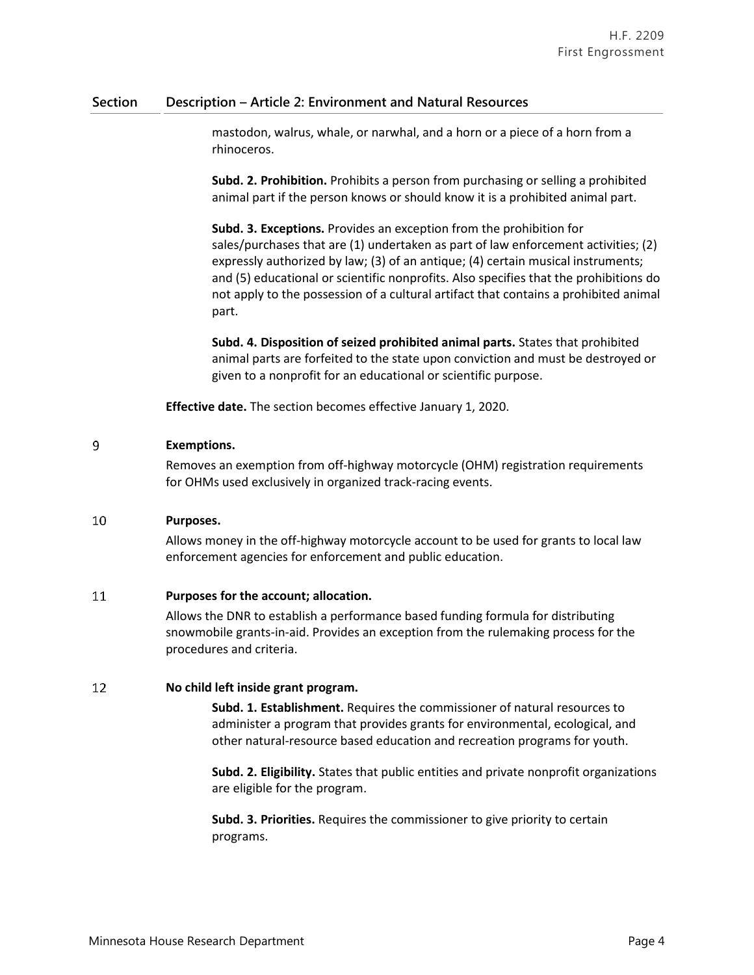mastodon, walrus, whale, or narwhal, and a horn or a piece of a horn from a rhinoceros.

**Subd. 2. Prohibition.** Prohibits a person from purchasing or selling a prohibited animal part if the person knows or should know it is a prohibited animal part.

**Subd. 3. Exceptions.** Provides an exception from the prohibition for sales/purchases that are (1) undertaken as part of law enforcement activities; (2) expressly authorized by law; (3) of an antique; (4) certain musical instruments; and (5) educational or scientific nonprofits. Also specifies that the prohibitions do not apply to the possession of a cultural artifact that contains a prohibited animal part.

**Subd. 4. Disposition of seized prohibited animal parts.** States that prohibited animal parts are forfeited to the state upon conviction and must be destroyed or given to a nonprofit for an educational or scientific purpose.

**Effective date.** The section becomes effective January 1, 2020.

#### 9 **Exemptions.**

Removes an exemption from off-highway motorcycle (OHM) registration requirements for OHMs used exclusively in organized track-racing events.

#### 10 **Purposes.**

Allows money in the off-highway motorcycle account to be used for grants to local law enforcement agencies for enforcement and public education.

#### 11 **Purposes for the account; allocation.**

Allows the DNR to establish a performance based funding formula for distributing snowmobile grants-in-aid. Provides an exception from the rulemaking process for the procedures and criteria.

#### 12 **No child left inside grant program.**

**Subd. 1. Establishment.** Requires the commissioner of natural resources to administer a program that provides grants for environmental, ecological, and other natural-resource based education and recreation programs for youth.

**Subd. 2. Eligibility.** States that public entities and private nonprofit organizations are eligible for the program.

**Subd. 3. Priorities.** Requires the commissioner to give priority to certain programs.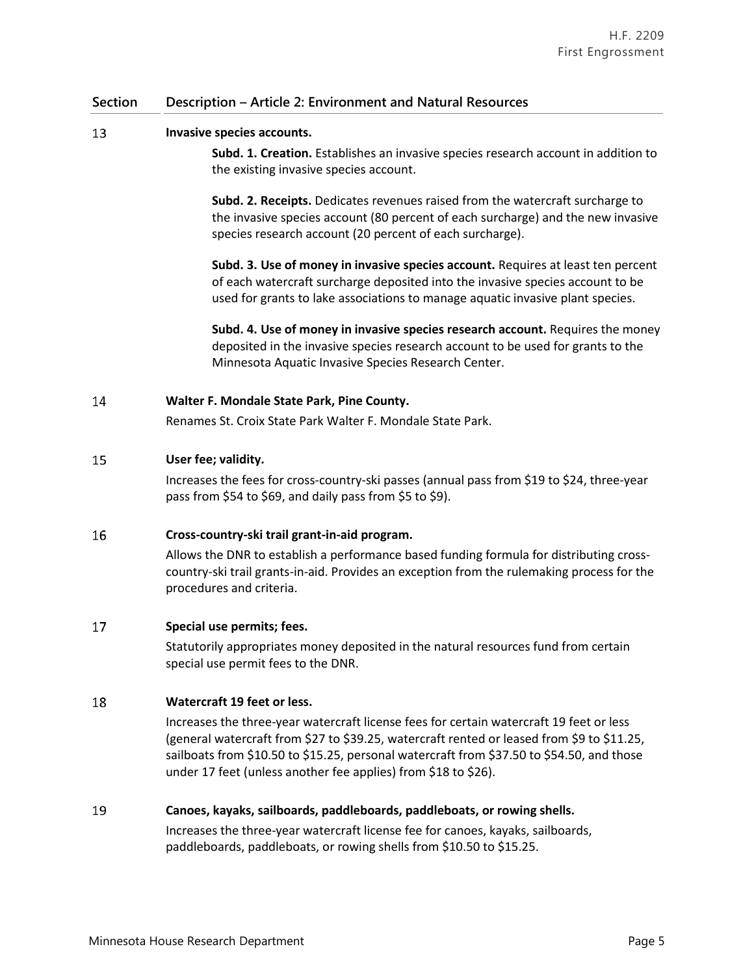#### 13 **Invasive species accounts.**

**Subd. 1. Creation.** Establishes an invasive species research account in addition to the existing invasive species account.

**Subd. 2. Receipts.** Dedicates revenues raised from the watercraft surcharge to the invasive species account (80 percent of each surcharge) and the new invasive species research account (20 percent of each surcharge).

**Subd. 3. Use of money in invasive species account.** Requires at least ten percent of each watercraft surcharge deposited into the invasive species account to be used for grants to lake associations to manage aquatic invasive plant species.

**Subd. 4. Use of money in invasive species research account.** Requires the money deposited in the invasive species research account to be used for grants to the Minnesota Aquatic Invasive Species Research Center.

#### 14 **Walter F. Mondale State Park, Pine County.**

Renames St. Croix State Park Walter F. Mondale State Park.

#### 15 **User fee; validity.**

Increases the fees for cross-country-ski passes (annual pass from \$19 to \$24, three-year pass from \$54 to \$69, and daily pass from \$5 to \$9).

#### 16 **Cross-country-ski trail grant-in-aid program.**

Allows the DNR to establish a performance based funding formula for distributing crosscountry-ski trail grants-in-aid. Provides an exception from the rulemaking process for the procedures and criteria.

#### 17 **Special use permits; fees.**

Statutorily appropriates money deposited in the natural resources fund from certain special use permit fees to the DNR.

#### 18 **Watercraft 19 feet or less.**

Increases the three-year watercraft license fees for certain watercraft 19 feet or less (general watercraft from \$27 to \$39.25, watercraft rented or leased from \$9 to \$11.25, sailboats from \$10.50 to \$15.25, personal watercraft from \$37.50 to \$54.50, and those under 17 feet (unless another fee applies) from \$18 to \$26).

#### 19 **Canoes, kayaks, sailboards, paddleboards, paddleboats, or rowing shells.**

Increases the three-year watercraft license fee for canoes, kayaks, sailboards, paddleboards, paddleboats, or rowing shells from \$10.50 to \$15.25.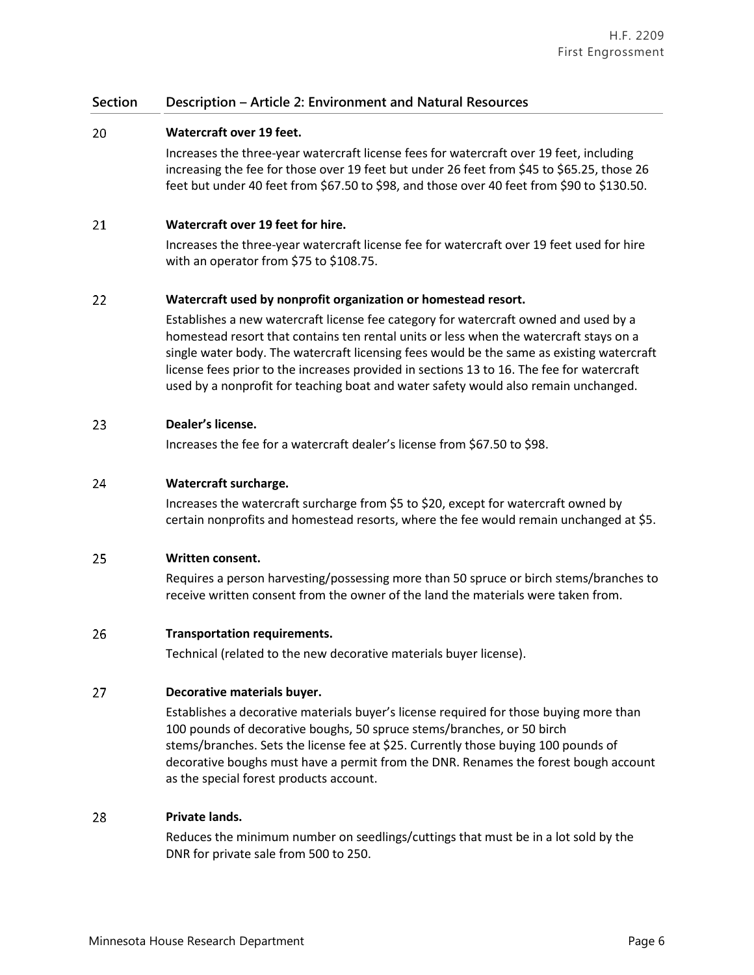#### 20 **Watercraft over 19 feet.**

Increases the three-year watercraft license fees for watercraft over 19 feet, including increasing the fee for those over 19 feet but under 26 feet from \$45 to \$65.25, those 26 feet but under 40 feet from \$67.50 to \$98, and those over 40 feet from \$90 to \$130.50.

#### 21 **Watercraft over 19 feet for hire.**

Increases the three-year watercraft license fee for watercraft over 19 feet used for hire with an operator from \$75 to \$108.75.

#### 22 **Watercraft used by nonprofit organization or homestead resort.**

Establishes a new watercraft license fee category for watercraft owned and used by a homestead resort that contains ten rental units or less when the watercraft stays on a single water body. The watercraft licensing fees would be the same as existing watercraft license fees prior to the increases provided in sections 13 to 16. The fee for watercraft used by a nonprofit for teaching boat and water safety would also remain unchanged.

#### 23 **Dealer's license.**

Increases the fee for a watercraft dealer's license from \$67.50 to \$98.

#### 24 **Watercraft surcharge.**

Increases the watercraft surcharge from \$5 to \$20, except for watercraft owned by certain nonprofits and homestead resorts, where the fee would remain unchanged at \$5.

#### 25 **Written consent.**

Requires a person harvesting/possessing more than 50 spruce or birch stems/branches to receive written consent from the owner of the land the materials were taken from.

#### 26 **Transportation requirements.**

Technical (related to the new decorative materials buyer license).

#### 27 **Decorative materials buyer.**

Establishes a decorative materials buyer's license required for those buying more than 100 pounds of decorative boughs, 50 spruce stems/branches, or 50 birch stems/branches. Sets the license fee at \$25. Currently those buying 100 pounds of decorative boughs must have a permit from the DNR. Renames the forest bough account as the special forest products account.

#### 28 **Private lands.**

Reduces the minimum number on seedlings/cuttings that must be in a lot sold by the DNR for private sale from 500 to 250.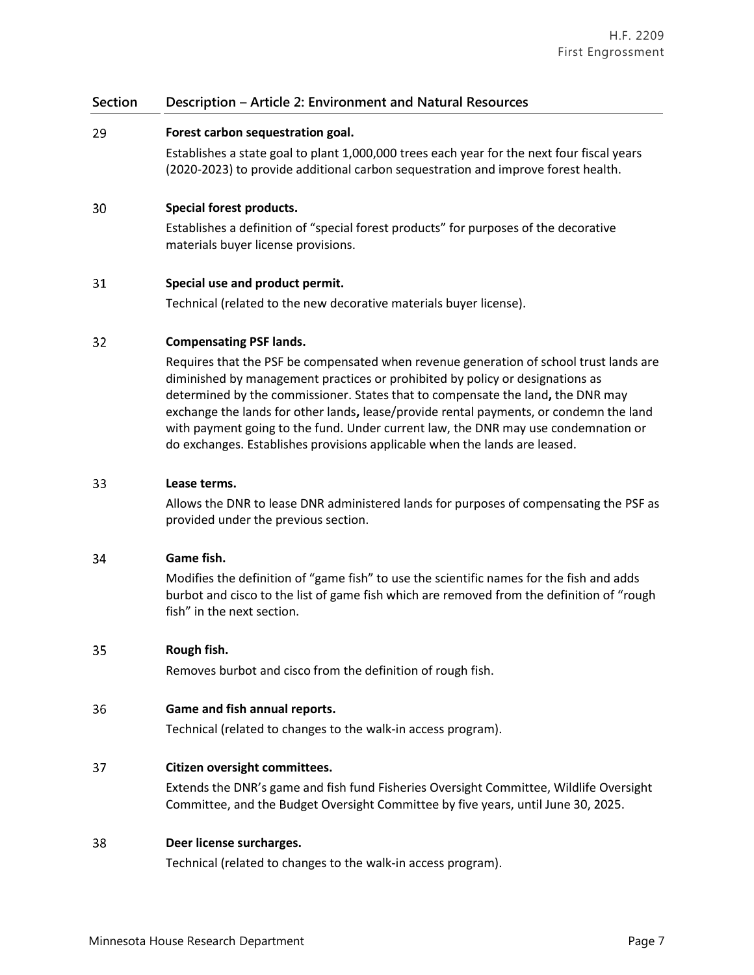#### 29 **Forest carbon sequestration goal.**

Establishes a state goal to plant 1,000,000 trees each year for the next four fiscal years (2020-2023) to provide additional carbon sequestration and improve forest health.

#### 30 **Special forest products.**

Establishes a definition of "special forest products" for purposes of the decorative materials buyer license provisions.

#### 31 **Special use and product permit.**

Technical (related to the new decorative materials buyer license).

#### 32 **Compensating PSF lands.**

Requires that the PSF be compensated when revenue generation of school trust lands are diminished by management practices or prohibited by policy or designations as determined by the commissioner. States that to compensate the land**,** the DNR may exchange the lands for other lands**,** lease/provide rental payments, or condemn the land with payment going to the fund. Under current law, the DNR may use condemnation or do exchanges. Establishes provisions applicable when the lands are leased.

#### 33 **Lease terms.**

Allows the DNR to lease DNR administered lands for purposes of compensating the PSF as provided under the previous section.

#### 34 **Game fish.**

Modifies the definition of "game fish" to use the scientific names for the fish and adds burbot and cisco to the list of game fish which are removed from the definition of "rough fish" in the next section.

#### 35 **Rough fish.**

Removes burbot and cisco from the definition of rough fish.

#### 36 **Game and fish annual reports.**

Technical (related to changes to the walk-in access program).

#### 37 **Citizen oversight committees.**

Extends the DNR's game and fish fund Fisheries Oversight Committee, Wildlife Oversight Committee, and the Budget Oversight Committee by five years, until June 30, 2025.

#### 38 **Deer license surcharges.**

Technical (related to changes to the walk-in access program).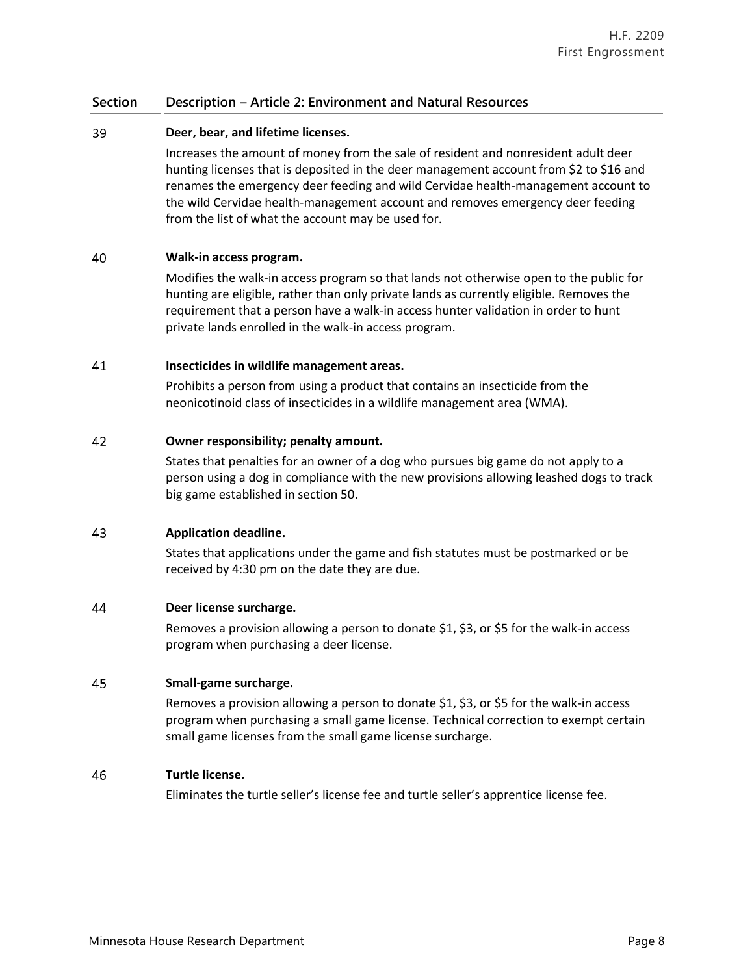#### 39 **Deer, bear, and lifetime licenses.**

Increases the amount of money from the sale of resident and nonresident adult deer hunting licenses that is deposited in the deer management account from \$2 to \$16 and renames the emergency deer feeding and wild Cervidae health-management account to the wild Cervidae health-management account and removes emergency deer feeding from the list of what the account may be used for.

#### 40 **Walk-in access program.**

Modifies the walk-in access program so that lands not otherwise open to the public for hunting are eligible, rather than only private lands as currently eligible. Removes the requirement that a person have a walk-in access hunter validation in order to hunt private lands enrolled in the walk-in access program.

#### 41 **Insecticides in wildlife management areas.**

Prohibits a person from using a product that contains an insecticide from the neonicotinoid class of insecticides in a wildlife management area (WMA).

#### 42 **Owner responsibility; penalty amount.**

States that penalties for an owner of a dog who pursues big game do not apply to a person using a dog in compliance with the new provisions allowing leashed dogs to track big game established in section 50.

#### 43 **Application deadline.**

States that applications under the game and fish statutes must be postmarked or be received by 4:30 pm on the date they are due.

#### 44 **Deer license surcharge.**

Removes a provision allowing a person to donate \$1, \$3, or \$5 for the walk-in access program when purchasing a deer license.

#### 45 **Small-game surcharge.**

Removes a provision allowing a person to donate \$1, \$3, or \$5 for the walk-in access program when purchasing a small game license. Technical correction to exempt certain small game licenses from the small game license surcharge.

#### 46 **Turtle license.**

Eliminates the turtle seller's license fee and turtle seller's apprentice license fee.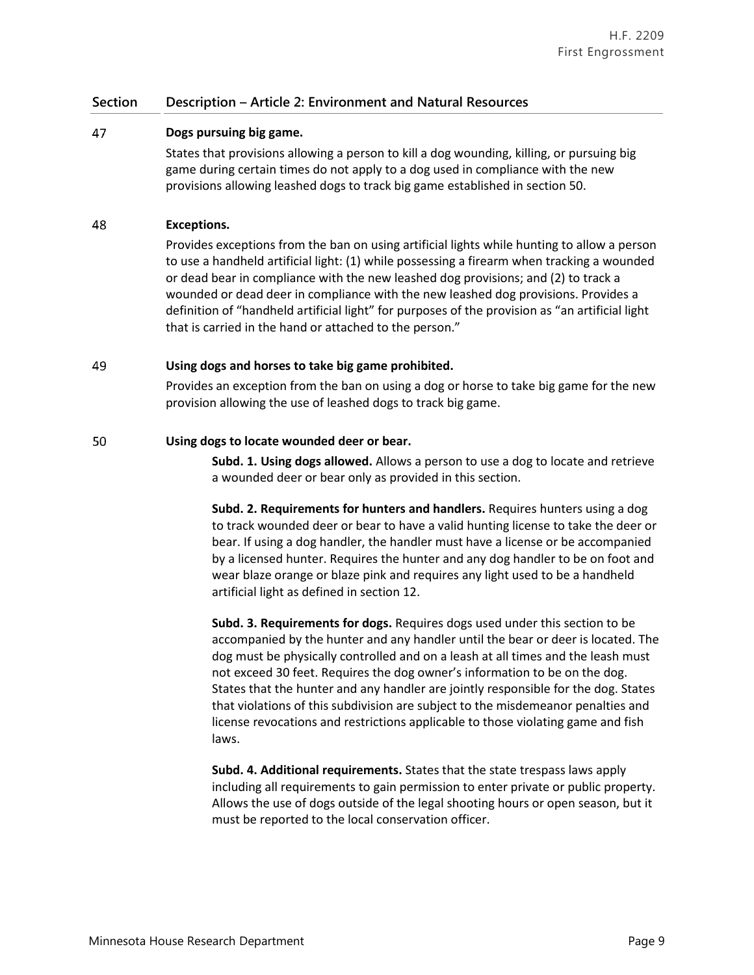#### 47 **Dogs pursuing big game.**

States that provisions allowing a person to kill a dog wounding, killing, or pursuing big game during certain times do not apply to a dog used in compliance with the new provisions allowing leashed dogs to track big game established in section 50.

#### 48 **Exceptions.**

Provides exceptions from the ban on using artificial lights while hunting to allow a person to use a handheld artificial light: (1) while possessing a firearm when tracking a wounded or dead bear in compliance with the new leashed dog provisions; and (2) to track a wounded or dead deer in compliance with the new leashed dog provisions. Provides a definition of "handheld artificial light" for purposes of the provision as "an artificial light that is carried in the hand or attached to the person."

#### 49 **Using dogs and horses to take big game prohibited.**

Provides an exception from the ban on using a dog or horse to take big game for the new provision allowing the use of leashed dogs to track big game.

#### 50 **Using dogs to locate wounded deer or bear.**

**Subd. 1. Using dogs allowed.** Allows a person to use a dog to locate and retrieve a wounded deer or bear only as provided in this section.

**Subd. 2. Requirements for hunters and handlers.** Requires hunters using a dog to track wounded deer or bear to have a valid hunting license to take the deer or bear. If using a dog handler, the handler must have a license or be accompanied by a licensed hunter. Requires the hunter and any dog handler to be on foot and wear blaze orange or blaze pink and requires any light used to be a handheld artificial light as defined in section 12.

**Subd. 3. Requirements for dogs.** Requires dogs used under this section to be accompanied by the hunter and any handler until the bear or deer is located. The dog must be physically controlled and on a leash at all times and the leash must not exceed 30 feet. Requires the dog owner's information to be on the dog. States that the hunter and any handler are jointly responsible for the dog. States that violations of this subdivision are subject to the misdemeanor penalties and license revocations and restrictions applicable to those violating game and fish laws.

**Subd. 4. Additional requirements.** States that the state trespass laws apply including all requirements to gain permission to enter private or public property. Allows the use of dogs outside of the legal shooting hours or open season, but it must be reported to the local conservation officer.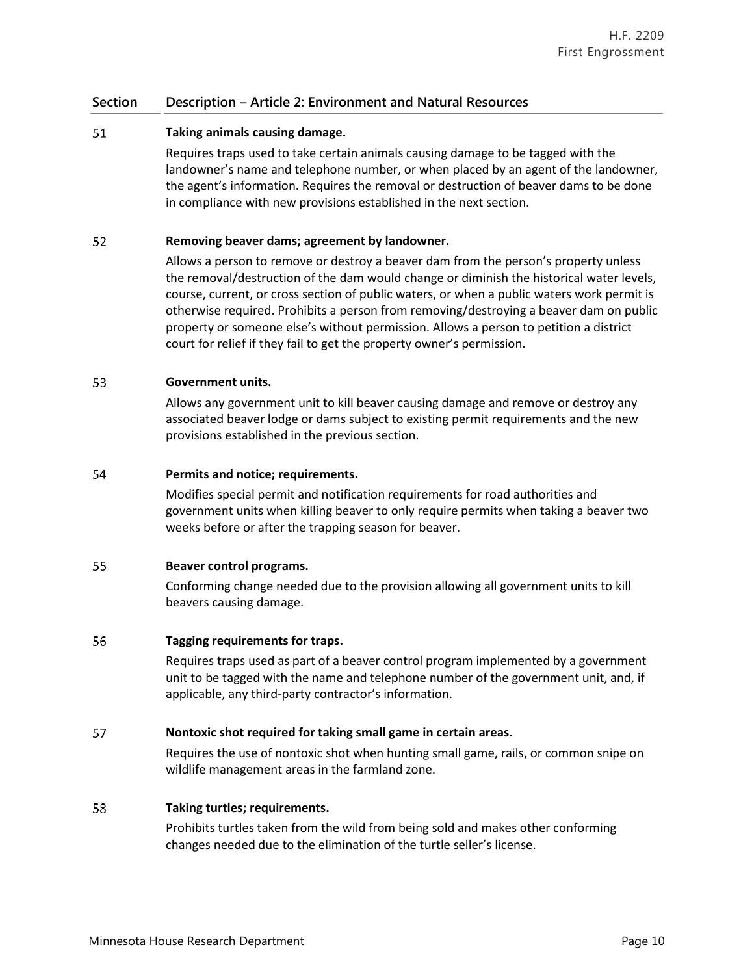#### 51 **Taking animals causing damage.**

Requires traps used to take certain animals causing damage to be tagged with the landowner's name and telephone number, or when placed by an agent of the landowner, the agent's information. Requires the removal or destruction of beaver dams to be done in compliance with new provisions established in the next section.

#### 52 **Removing beaver dams; agreement by landowner.**

Allows a person to remove or destroy a beaver dam from the person's property unless the removal/destruction of the dam would change or diminish the historical water levels, course, current, or cross section of public waters, or when a public waters work permit is otherwise required. Prohibits a person from removing/destroying a beaver dam on public property or someone else's without permission. Allows a person to petition a district court for relief if they fail to get the property owner's permission.

#### 53 **Government units.**

Allows any government unit to kill beaver causing damage and remove or destroy any associated beaver lodge or dams subject to existing permit requirements and the new provisions established in the previous section.

#### 54 **Permits and notice; requirements.**

Modifies special permit and notification requirements for road authorities and government units when killing beaver to only require permits when taking a beaver two weeks before or after the trapping season for beaver.

#### 55 **Beaver control programs.**

Conforming change needed due to the provision allowing all government units to kill beavers causing damage.

#### 56 **Tagging requirements for traps.**

Requires traps used as part of a beaver control program implemented by a government unit to be tagged with the name and telephone number of the government unit, and, if applicable, any third-party contractor's information.

#### 57 **Nontoxic shot required for taking small game in certain areas.**

Requires the use of nontoxic shot when hunting small game, rails, or common snipe on wildlife management areas in the farmland zone.

#### 58 **Taking turtles; requirements.**

Prohibits turtles taken from the wild from being sold and makes other conforming changes needed due to the elimination of the turtle seller's license.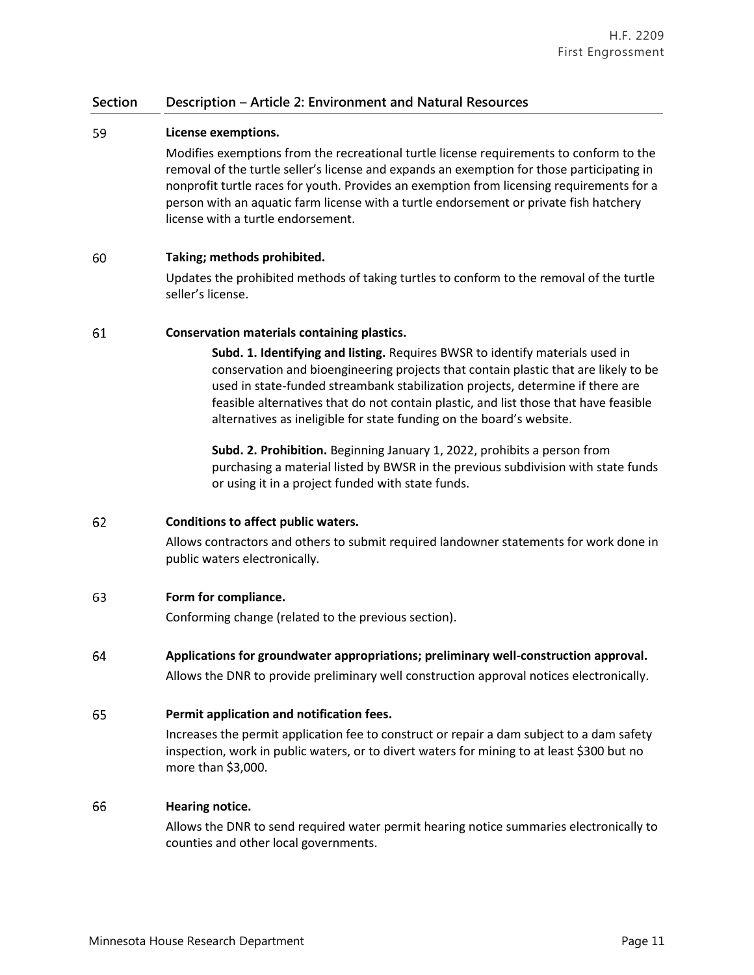#### 59 **License exemptions.**

Modifies exemptions from the recreational turtle license requirements to conform to the removal of the turtle seller's license and expands an exemption for those participating in nonprofit turtle races for youth. Provides an exemption from licensing requirements for a person with an aquatic farm license with a turtle endorsement or private fish hatchery license with a turtle endorsement.

#### 60 **Taking; methods prohibited.**

Updates the prohibited methods of taking turtles to conform to the removal of the turtle seller's license.

#### 61 **Conservation materials containing plastics.**

**Subd. 1. Identifying and listing.** Requires BWSR to identify materials used in conservation and bioengineering projects that contain plastic that are likely to be used in state-funded streambank stabilization projects, determine if there are feasible alternatives that do not contain plastic, and list those that have feasible alternatives as ineligible for state funding on the board's website.

**Subd. 2. Prohibition.** Beginning January 1, 2022, prohibits a person from purchasing a material listed by BWSR in the previous subdivision with state funds or using it in a project funded with state funds.

#### 62 **Conditions to affect public waters.**

Allows contractors and others to submit required landowner statements for work done in public waters electronically.

#### 63 **Form for compliance.**

Conforming change (related to the previous section).

64 **Applications for groundwater appropriations; preliminary well-construction approval.** Allows the DNR to provide preliminary well construction approval notices electronically.

#### 65 **Permit application and notification fees.**

Increases the permit application fee to construct or repair a dam subject to a dam safety inspection, work in public waters, or to divert waters for mining to at least \$300 but no more than \$3,000.

#### 66 **Hearing notice.**

Allows the DNR to send required water permit hearing notice summaries electronically to counties and other local governments.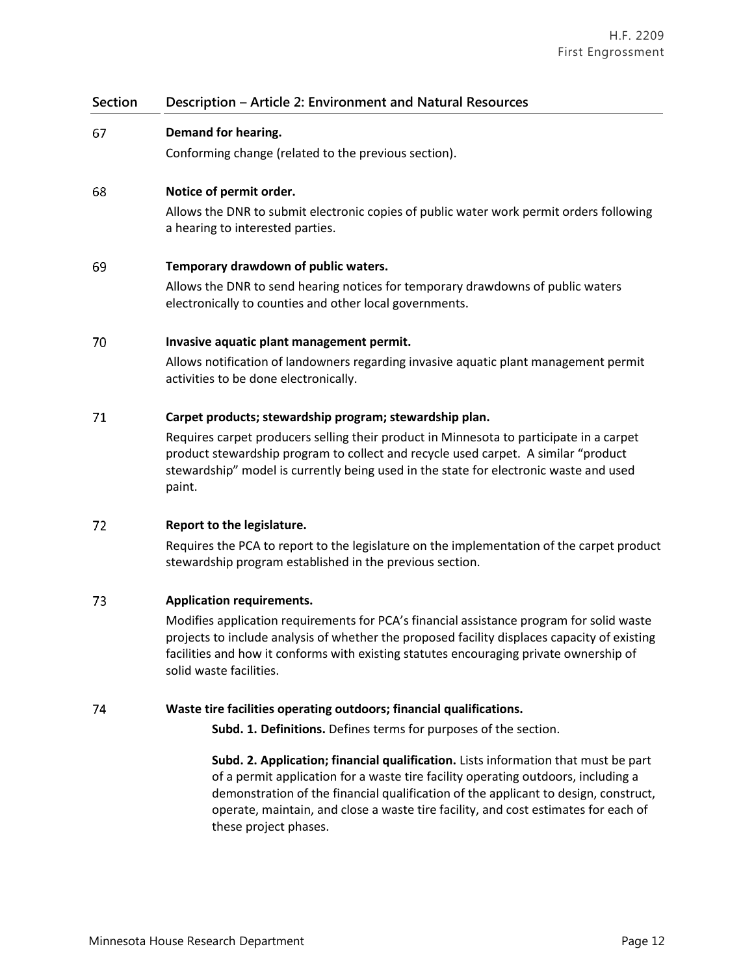#### 67 **Demand for hearing.**

Conforming change (related to the previous section).

#### 68 **Notice of permit order.**

Allows the DNR to submit electronic copies of public water work permit orders following a hearing to interested parties.

#### 69 **Temporary drawdown of public waters.**

Allows the DNR to send hearing notices for temporary drawdowns of public waters electronically to counties and other local governments.

#### 70 **Invasive aquatic plant management permit.**

Allows notification of landowners regarding invasive aquatic plant management permit activities to be done electronically.

#### 71 **Carpet products; stewardship program; stewardship plan.**

Requires carpet producers selling their product in Minnesota to participate in a carpet product stewardship program to collect and recycle used carpet. A similar "product stewardship" model is currently being used in the state for electronic waste and used paint.

#### 72 **Report to the legislature.**

Requires the PCA to report to the legislature on the implementation of the carpet product stewardship program established in the previous section.

#### 73 **Application requirements.**

Modifies application requirements for PCA's financial assistance program for solid waste projects to include analysis of whether the proposed facility displaces capacity of existing facilities and how it conforms with existing statutes encouraging private ownership of solid waste facilities.

#### 74 **Waste tire facilities operating outdoors; financial qualifications.**

**Subd. 1. Definitions.** Defines terms for purposes of the section.

**Subd. 2. Application; financial qualification.** Lists information that must be part of a permit application for a waste tire facility operating outdoors, including a demonstration of the financial qualification of the applicant to design, construct, operate, maintain, and close a waste tire facility, and cost estimates for each of these project phases.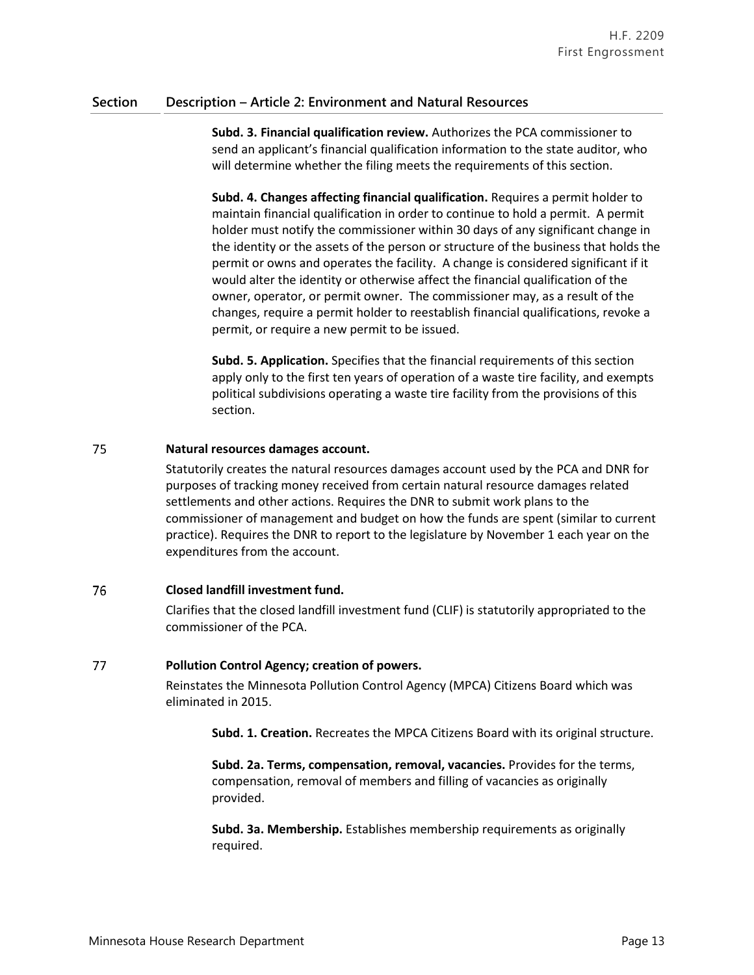**Subd. 3. Financial qualification review.** Authorizes the PCA commissioner to send an applicant's financial qualification information to the state auditor, who will determine whether the filing meets the requirements of this section.

**Subd. 4. Changes affecting financial qualification.** Requires a permit holder to maintain financial qualification in order to continue to hold a permit. A permit holder must notify the commissioner within 30 days of any significant change in the identity or the assets of the person or structure of the business that holds the permit or owns and operates the facility. A change is considered significant if it would alter the identity or otherwise affect the financial qualification of the owner, operator, or permit owner. The commissioner may, as a result of the changes, require a permit holder to reestablish financial qualifications, revoke a permit, or require a new permit to be issued.

**Subd. 5. Application.** Specifies that the financial requirements of this section apply only to the first ten years of operation of a waste tire facility, and exempts political subdivisions operating a waste tire facility from the provisions of this section.

#### 75 **Natural resources damages account.**

Statutorily creates the natural resources damages account used by the PCA and DNR for purposes of tracking money received from certain natural resource damages related settlements and other actions. Requires the DNR to submit work plans to the commissioner of management and budget on how the funds are spent (similar to current practice). Requires the DNR to report to the legislature by November 1 each year on the expenditures from the account.

#### 76 **Closed landfill investment fund.**

Clarifies that the closed landfill investment fund (CLIF) is statutorily appropriated to the commissioner of the PCA.

#### 77 **Pollution Control Agency; creation of powers.**

Reinstates the Minnesota Pollution Control Agency (MPCA) Citizens Board which was eliminated in 2015.

**Subd. 1. Creation.** Recreates the MPCA Citizens Board with its original structure.

**Subd. 2a. Terms, compensation, removal, vacancies.** Provides for the terms, compensation, removal of members and filling of vacancies as originally provided.

**Subd. 3a. Membership.** Establishes membership requirements as originally required.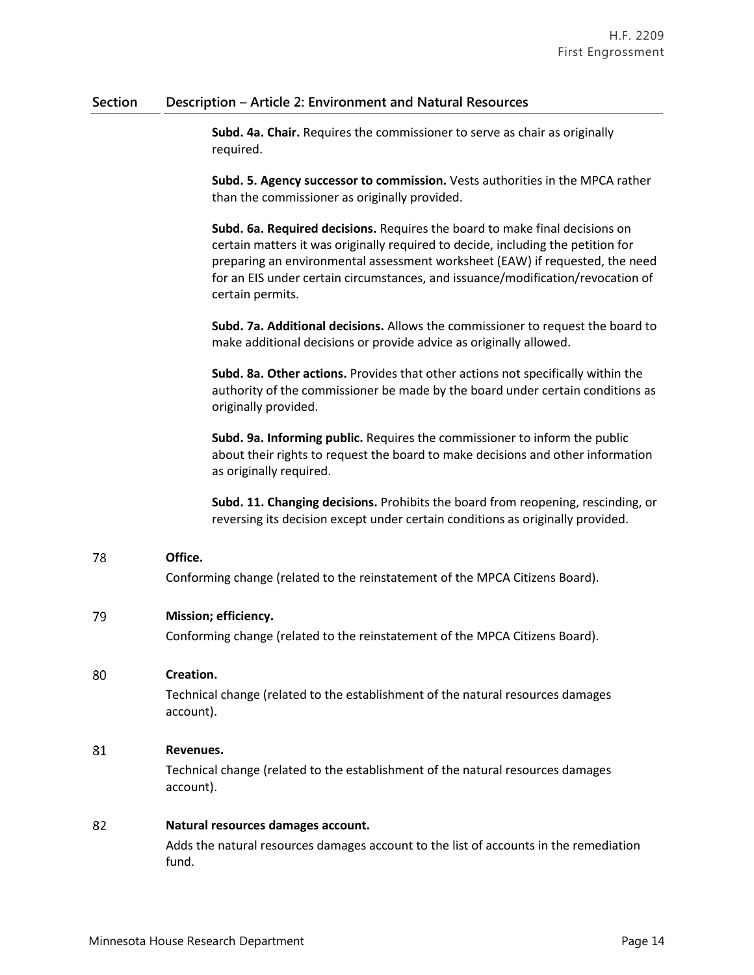**Subd. 4a. Chair.** Requires the commissioner to serve as chair as originally required.

**Subd. 5. Agency successor to commission.** Vests authorities in the MPCA rather than the commissioner as originally provided.

**Subd. 6a. Required decisions.** Requires the board to make final decisions on certain matters it was originally required to decide, including the petition for preparing an environmental assessment worksheet (EAW) if requested, the need for an EIS under certain circumstances, and issuance/modification/revocation of certain permits.

**Subd. 7a. Additional decisions.** Allows the commissioner to request the board to make additional decisions or provide advice as originally allowed.

**Subd. 8a. Other actions.** Provides that other actions not specifically within the authority of the commissioner be made by the board under certain conditions as originally provided.

**Subd. 9a. Informing public.** Requires the commissioner to inform the public about their rights to request the board to make decisions and other information as originally required.

**Subd. 11. Changing decisions.** Prohibits the board from reopening, rescinding, or reversing its decision except under certain conditions as originally provided.

#### **Office.** 78

Conforming change (related to the reinstatement of the MPCA Citizens Board).

#### 79 **Mission; efficiency.**

Conforming change (related to the reinstatement of the MPCA Citizens Board).

#### 80 **Creation.**

Technical change (related to the establishment of the natural resources damages account).

#### 81 **Revenues.**

Technical change (related to the establishment of the natural resources damages account).

#### 82 **Natural resources damages account.**

Adds the natural resources damages account to the list of accounts in the remediation fund.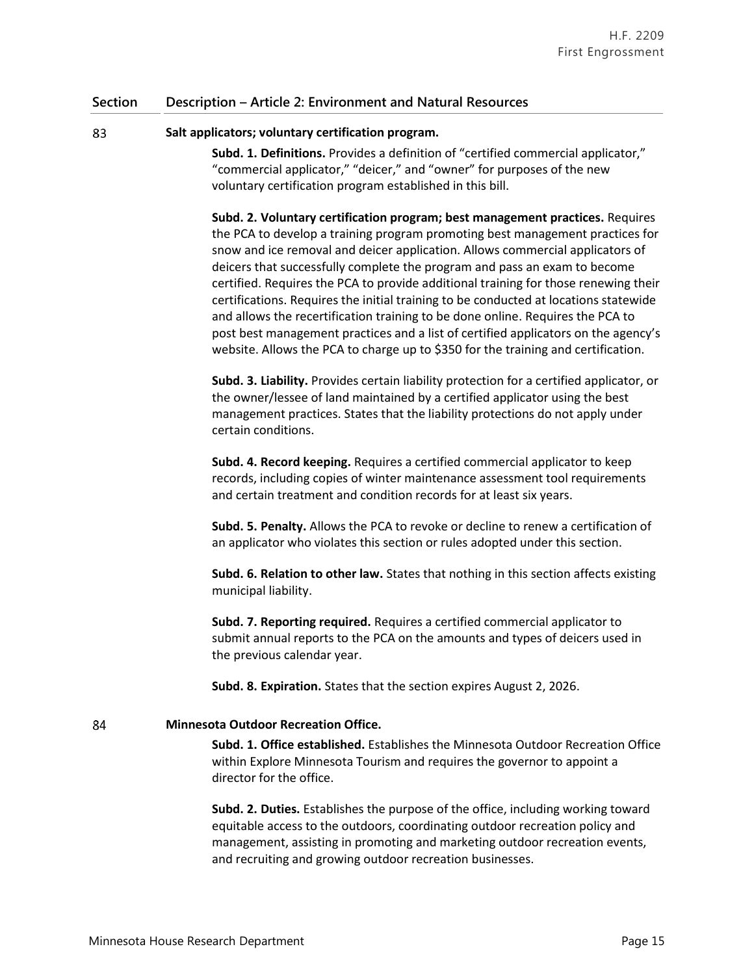#### 83 **Salt applicators; voluntary certification program.**

**Subd. 1. Definitions.** Provides a definition of "certified commercial applicator," "commercial applicator," "deicer," and "owner" for purposes of the new voluntary certification program established in this bill.

**Subd. 2. Voluntary certification program; best management practices.** Requires the PCA to develop a training program promoting best management practices for snow and ice removal and deicer application. Allows commercial applicators of deicers that successfully complete the program and pass an exam to become certified. Requires the PCA to provide additional training for those renewing their certifications. Requires the initial training to be conducted at locations statewide and allows the recertification training to be done online. Requires the PCA to post best management practices and a list of certified applicators on the agency's website. Allows the PCA to charge up to \$350 for the training and certification.

**Subd. 3. Liability.** Provides certain liability protection for a certified applicator, or the owner/lessee of land maintained by a certified applicator using the best management practices. States that the liability protections do not apply under certain conditions.

**Subd. 4. Record keeping.** Requires a certified commercial applicator to keep records, including copies of winter maintenance assessment tool requirements and certain treatment and condition records for at least six years.

**Subd. 5. Penalty.** Allows the PCA to revoke or decline to renew a certification of an applicator who violates this section or rules adopted under this section.

**Subd. 6. Relation to other law.** States that nothing in this section affects existing municipal liability.

**Subd. 7. Reporting required.** Requires a certified commercial applicator to submit annual reports to the PCA on the amounts and types of deicers used in the previous calendar year.

**Subd. 8. Expiration.** States that the section expires August 2, 2026.

#### 84 **Minnesota Outdoor Recreation Office.**

**Subd. 1. Office established.** Establishes the Minnesota Outdoor Recreation Office within Explore Minnesota Tourism and requires the governor to appoint a director for the office.

**Subd. 2. Duties.** Establishes the purpose of the office, including working toward equitable access to the outdoors, coordinating outdoor recreation policy and management, assisting in promoting and marketing outdoor recreation events, and recruiting and growing outdoor recreation businesses.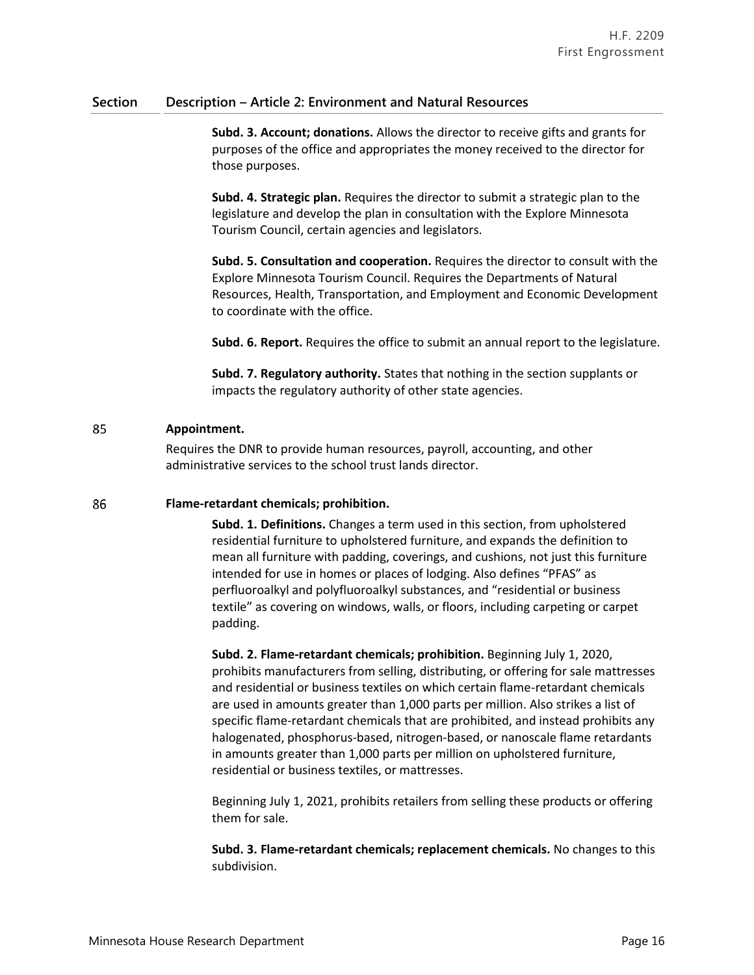**Subd. 3. Account; donations.** Allows the director to receive gifts and grants for purposes of the office and appropriates the money received to the director for those purposes.

**Subd. 4. Strategic plan.** Requires the director to submit a strategic plan to the legislature and develop the plan in consultation with the Explore Minnesota Tourism Council, certain agencies and legislators.

**Subd. 5. Consultation and cooperation.** Requires the director to consult with the Explore Minnesota Tourism Council. Requires the Departments of Natural Resources, Health, Transportation, and Employment and Economic Development to coordinate with the office.

**Subd. 6. Report.** Requires the office to submit an annual report to the legislature.

**Subd. 7. Regulatory authority.** States that nothing in the section supplants or impacts the regulatory authority of other state agencies.

#### 85 **Appointment.**

Requires the DNR to provide human resources, payroll, accounting, and other administrative services to the school trust lands director.

#### 86 **Flame-retardant chemicals; prohibition.**

**Subd. 1. Definitions.** Changes a term used in this section, from upholstered residential furniture to upholstered furniture, and expands the definition to mean all furniture with padding, coverings, and cushions, not just this furniture intended for use in homes or places of lodging. Also defines "PFAS" as perfluoroalkyl and polyfluoroalkyl substances, and "residential or business textile" as covering on windows, walls, or floors, including carpeting or carpet padding.

**Subd. 2. Flame-retardant chemicals; prohibition.** Beginning July 1, 2020, prohibits manufacturers from selling, distributing, or offering for sale mattresses and residential or business textiles on which certain flame-retardant chemicals are used in amounts greater than 1,000 parts per million. Also strikes a list of specific flame-retardant chemicals that are prohibited, and instead prohibits any halogenated, phosphorus-based, nitrogen-based, or nanoscale flame retardants in amounts greater than 1,000 parts per million on upholstered furniture, residential or business textiles, or mattresses.

Beginning July 1, 2021, prohibits retailers from selling these products or offering them for sale.

**Subd. 3. Flame-retardant chemicals; replacement chemicals.** No changes to this subdivision.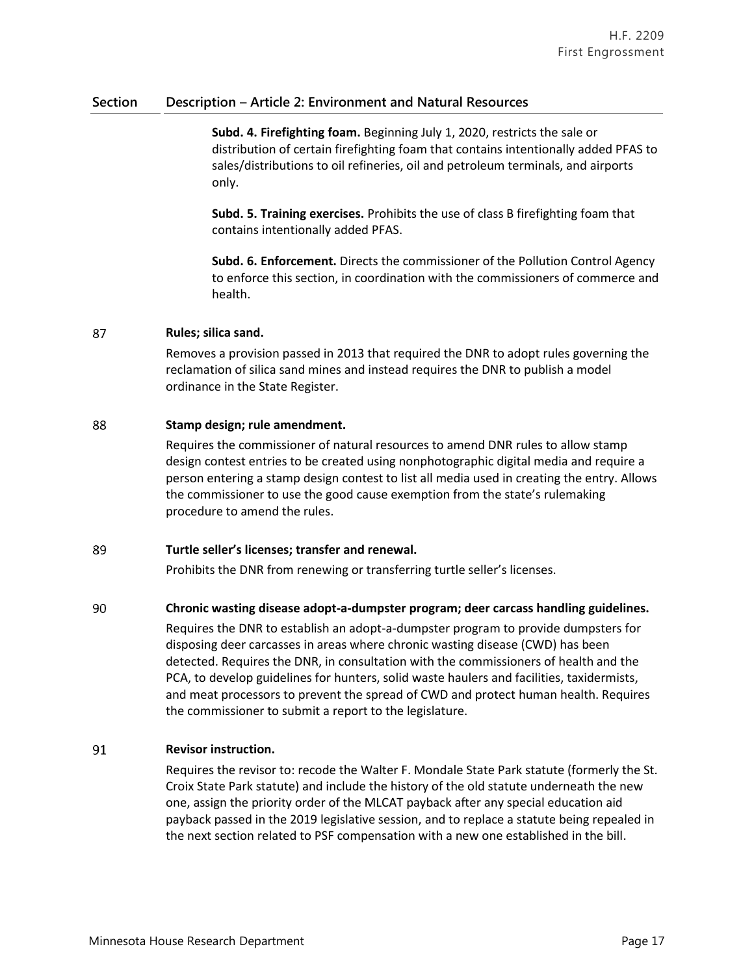**Subd. 4. Firefighting foam.** Beginning July 1, 2020, restricts the sale or distribution of certain firefighting foam that contains intentionally added PFAS to sales/distributions to oil refineries, oil and petroleum terminals, and airports only.

**Subd. 5. Training exercises.** Prohibits the use of class B firefighting foam that contains intentionally added PFAS.

**Subd. 6. Enforcement.** Directs the commissioner of the Pollution Control Agency to enforce this section, in coordination with the commissioners of commerce and health.

#### 87 **Rules; silica sand.**

Removes a provision passed in 2013 that required the DNR to adopt rules governing the reclamation of silica sand mines and instead requires the DNR to publish a model ordinance in the State Register.

#### 88 **Stamp design; rule amendment.**

Requires the commissioner of natural resources to amend DNR rules to allow stamp design contest entries to be created using nonphotographic digital media and require a person entering a stamp design contest to list all media used in creating the entry. Allows the commissioner to use the good cause exemption from the state's rulemaking procedure to amend the rules.

#### 89 **Turtle seller's licenses; transfer and renewal.**

Prohibits the DNR from renewing or transferring turtle seller's licenses.

#### 90 **Chronic wasting disease adopt-a-dumpster program; deer carcass handling guidelines.**

Requires the DNR to establish an adopt-a-dumpster program to provide dumpsters for disposing deer carcasses in areas where chronic wasting disease (CWD) has been detected. Requires the DNR, in consultation with the commissioners of health and the PCA, to develop guidelines for hunters, solid waste haulers and facilities, taxidermists, and meat processors to prevent the spread of CWD and protect human health. Requires the commissioner to submit a report to the legislature.

#### 91 **Revisor instruction.**

Requires the revisor to: recode the Walter F. Mondale State Park statute (formerly the St. Croix State Park statute) and include the history of the old statute underneath the new one, assign the priority order of the MLCAT payback after any special education aid payback passed in the 2019 legislative session, and to replace a statute being repealed in the next section related to PSF compensation with a new one established in the bill.